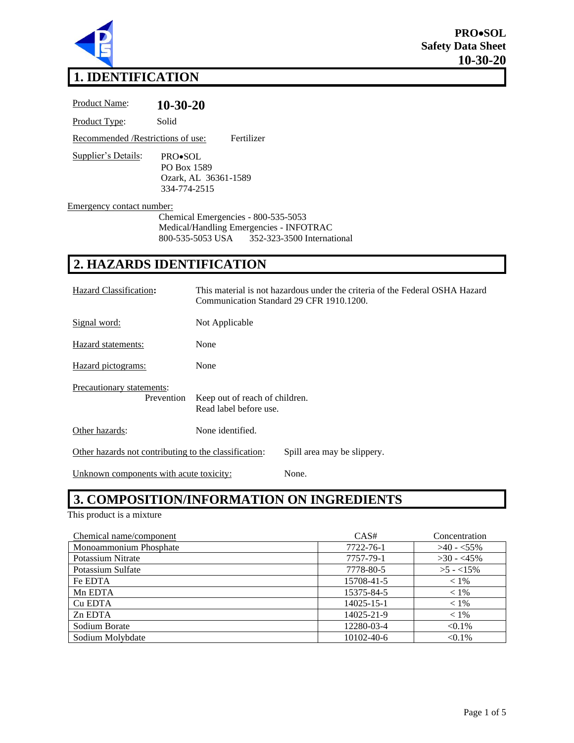

## **1. IDENTIFICATION**

| <b>Product Name:</b>               | $10-30-20$                                                                                                                    |
|------------------------------------|-------------------------------------------------------------------------------------------------------------------------------|
| Product Type:                      | Solid                                                                                                                         |
| Recommended / Restrictions of use: | Fertilizer                                                                                                                    |
| Supplier's Details:                | PRO•SOL<br>PO Box 1589<br>Ozark, AL 36361-1589<br>334-774-2515                                                                |
| <b>Emergency contact number:</b>   | Chemical Emergencies - 800-535-5053<br>Medical/Handling Emergencies - INFOTRAC<br>800-535-5053 USA 352-323-3500 International |
|                                    | <b>2. HAZARDS IDENTIFICATION</b>                                                                                              |
|                                    |                                                                                                                               |

| Hazard Classification:                                                               | This material is not hazardous under the criteria of the Federal OSHA Hazard<br>Communication Standard 29 CFR 1910.1200. |  |  |
|--------------------------------------------------------------------------------------|--------------------------------------------------------------------------------------------------------------------------|--|--|
| Signal word:                                                                         | Not Applicable                                                                                                           |  |  |
| Hazard statements:                                                                   | None                                                                                                                     |  |  |
| Hazard pictograms:                                                                   | None                                                                                                                     |  |  |
| Precautionary statements:<br>Prevention                                              | Keep out of reach of children.<br>Read label before use.                                                                 |  |  |
| Other hazards:                                                                       | None identified.                                                                                                         |  |  |
| Other hazards not contributing to the classification:<br>Spill area may be slippery. |                                                                                                                          |  |  |

Unknown components with acute toxicity: None.

# **3. COMPOSITION/INFORMATION ON INGREDIENTS**

This product is a mixture

| Chemical name/component | CAS#       | Concentration |
|-------------------------|------------|---------------|
| Monoammonium Phosphate  | 7722-76-1  | $>40 - 55\%$  |
| Potassium Nitrate       | 7757-79-1  | $>30 - 45\%$  |
| Potassium Sulfate       | 7778-80-5  | $>5 - 15\%$   |
| Fe EDTA                 | 15708-41-5 | $< 1\%$       |
| Mn EDTA                 | 15375-84-5 | $< 1\%$       |
| Cu EDTA                 | 14025-15-1 | $< 1\%$       |
| Zn EDTA                 | 14025-21-9 | $< 1\%$       |
| Sodium Borate           | 12280-03-4 | $< 0.1\%$     |
| Sodium Molybdate        | 10102-40-6 | $< 0.1\%$     |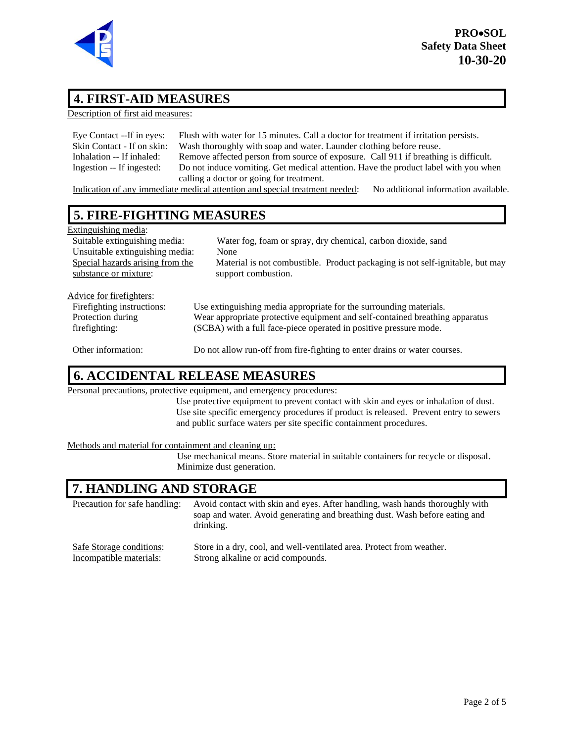

#### **4. FIRST-AID MEASURES**

Description of first aid measures:

| Eye Contact --If in eyes:  | Flush with water for 15 minutes. Call a doctor for treatment if irritation persists. |
|----------------------------|--------------------------------------------------------------------------------------|
| Skin Contact - If on skin: | Wash thoroughly with soap and water. Launder clothing before reuse.                  |
| Inhalation -- If inhaled:  | Remove affected person from source of exposure. Call 911 if breathing is difficult.  |
| Ingestion -- If ingested:  | Do not induce vomiting. Get medical attention. Have the product label with you when  |
|                            | calling a doctor or going for treatment.                                             |

Indication of any immediate medical attention and special treatment needed: No additional information available.

#### **5. FIRE-FIGHTING MEASURES**

| Extinguishing media:             |                                                                               |  |  |
|----------------------------------|-------------------------------------------------------------------------------|--|--|
| Suitable extinguishing media:    | Water fog, foam or spray, dry chemical, carbon dioxide, sand                  |  |  |
| Unsuitable extinguishing media:  | None                                                                          |  |  |
| Special hazards arising from the | Material is not combustible. Product packaging is not self-ignitable, but may |  |  |
| substance or mixture:            | support combustion.                                                           |  |  |
|                                  |                                                                               |  |  |
| Advice for firefighters:         |                                                                               |  |  |
| Firefighting instructions:       | Use extinguishing media appropriate for the surrounding materials.            |  |  |
| Protection during                | Wear appropriate protective equipment and self-contained breathing apparatus  |  |  |
| firefighting:                    | (SCBA) with a full face-piece operated in positive pressure mode.             |  |  |

Other information: Do not allow run-off from fire-fighting to enter drains or water courses.

#### **6. ACCIDENTAL RELEASE MEASURES**

Personal precautions, protective equipment, and emergency procedures:

Use protective equipment to prevent contact with skin and eyes or inhalation of dust. Use site specific emergency procedures if product is released. Prevent entry to sewers and public surface waters per site specific containment procedures.

Methods and material for containment and cleaning up:

Use mechanical means. Store material in suitable containers for recycle or disposal. Minimize dust generation.

#### **7. HANDLING AND STORAGE**

Precaution for safe handling: Avoid contact with skin and eyes. After handling, wash hands thoroughly with soap and water. Avoid generating and breathing dust. Wash before eating and drinking.

| Safe Storage conditions: | Store in a dry, cool, and well-ventilated area. Protect from weather. |
|--------------------------|-----------------------------------------------------------------------|
| Incompatible materials:  | Strong alkaline or acid compounds.                                    |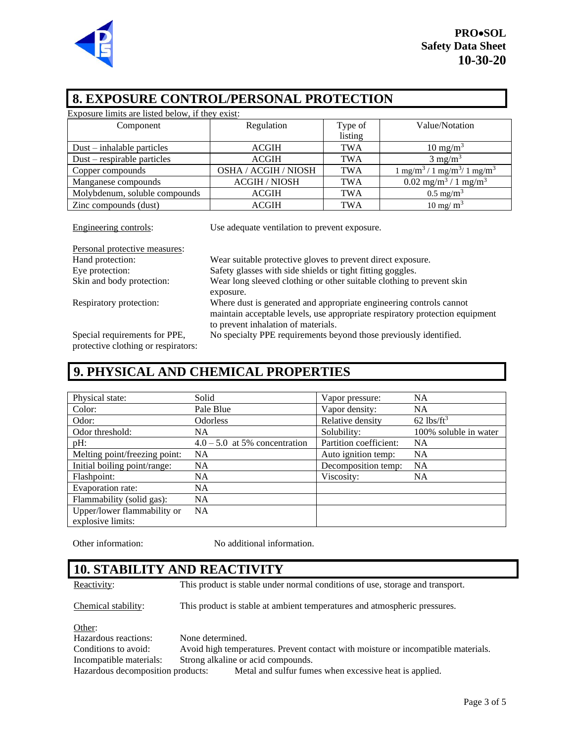

| <b>8. EXPOSURE CONTROL/PERSONAL PROTECTION</b>         |                                                                                                                                                                                            |            |                                                          |
|--------------------------------------------------------|--------------------------------------------------------------------------------------------------------------------------------------------------------------------------------------------|------------|----------------------------------------------------------|
| Exposure limits are listed below, if they exist:       |                                                                                                                                                                                            |            |                                                          |
| Component                                              | Regulation                                                                                                                                                                                 | Type of    | Value/Notation                                           |
|                                                        |                                                                                                                                                                                            | listing    |                                                          |
| $Dust$ – inhalable particles                           | <b>ACGIH</b>                                                                                                                                                                               | TWA        | $10 \text{ mg/m}^3$                                      |
| Dust – respirable particles                            | <b>ACGIH</b>                                                                                                                                                                               | <b>TWA</b> | $3 \text{ mg/m}^3$                                       |
| Copper compounds                                       | OSHA / ACGIH / NIOSH                                                                                                                                                                       | TWA        | $1 \text{ mg/m}^3 / 1 \text{ mg/m}^3 / 1 \text{ mg/m}^3$ |
| Manganese compounds                                    | <b>ACGIH / NIOSH</b>                                                                                                                                                                       | <b>TWA</b> | $0.02$ mg/m <sup>3</sup> / 1 mg/m <sup>3</sup>           |
| Molybdenum, soluble compounds                          | <b>ACGIH</b>                                                                                                                                                                               | <b>TWA</b> | $0.5 \text{ mg/m}^3$                                     |
| Zinc compounds (dust)                                  | <b>ACGIH</b>                                                                                                                                                                               | TWA        | $10 \text{ mg/m}^3$                                      |
| Engineering controls:<br>Personal protective measures: | Use adequate ventilation to prevent exposure.                                                                                                                                              |            |                                                          |
| Hand protection:                                       | Wear suitable protective gloves to prevent direct exposure.                                                                                                                                |            |                                                          |
| Eye protection:                                        | Safety glasses with side shields or tight fitting goggles.                                                                                                                                 |            |                                                          |
| Skin and body protection:                              | Wear long sleeved clothing or other suitable clothing to prevent skin<br>exposure.                                                                                                         |            |                                                          |
| Respiratory protection:                                | Where dust is generated and appropriate engineering controls cannot<br>maintain acceptable levels, use appropriate respiratory protection equipment<br>to prevent inhalation of materials. |            |                                                          |
| Special requirements for PPE,                          | No specialty PPE requirements beyond those previously identified.                                                                                                                          |            |                                                          |

Special requirements for PPE, protective clothing or respirators:

#### **9. PHYSICAL AND CHEMICAL PROPERTIES**

| Physical state:               | Solid                           | Vapor pressure:        | <b>NA</b>                |
|-------------------------------|---------------------------------|------------------------|--------------------------|
| Color:                        | Pale Blue                       | Vapor density:         | <b>NA</b>                |
| Odor:                         | <b>Odorless</b>                 | Relative density       | $62$ lbs/ft <sup>3</sup> |
| Odor threshold:               | NA                              | Solubility:            | 100% soluble in water    |
| $pH$ :                        | $4.0 - 5.0$ at 5% concentration | Partition coefficient: | <b>NA</b>                |
| Melting point/freezing point: | <b>NA</b>                       | Auto ignition temp:    | <b>NA</b>                |
| Initial boiling point/range:  | <b>NA</b>                       | Decomposition temp:    | <b>NA</b>                |
| Flashpoint:                   | <b>NA</b>                       | Viscosity:             | <b>NA</b>                |
| Evaporation rate:             | <b>NA</b>                       |                        |                          |
| Flammability (solid gas):     | <b>NA</b>                       |                        |                          |
| Upper/lower flammability or   | <b>NA</b>                       |                        |                          |
| explosive limits:             |                                 |                        |                          |

Other information: No additional information.

## **10. STABILITY AND REACTIVITY**

Reactivity: This product is stable under normal conditions of use, storage and transport.

Chemical stability: This product is stable at ambient temperatures and atmospheric pressures.

Other: Hazardous reactions: None determined. Conditions to avoid: Avoid high temperatures. Prevent contact with moisture or incompatible materials. Incompatible materials: Strong alkaline or acid compounds. Hazardous decomposition products: Metal and sulfur fumes when excessive heat is applied.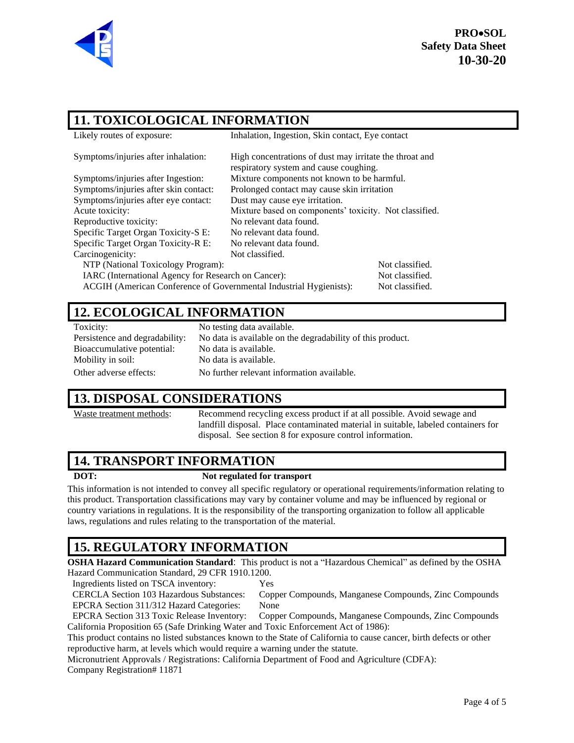

#### **11. TOXICOLOGICAL INFORMATION**

| Likely routes of exposure:                                         | Inhalation, Ingestion, Skin contact, Eye contact                                                  |                 |  |
|--------------------------------------------------------------------|---------------------------------------------------------------------------------------------------|-----------------|--|
| Symptoms/injuries after inhalation:                                | High concentrations of dust may irritate the throat and<br>respiratory system and cause coughing. |                 |  |
| Symptoms/injuries after Ingestion:                                 | Mixture components not known to be harmful.                                                       |                 |  |
| Symptoms/injuries after skin contact:                              | Prolonged contact may cause skin irritation                                                       |                 |  |
| Symptoms/injuries after eye contact:                               | Dust may cause eye irritation.                                                                    |                 |  |
| Acute toxicity:                                                    | Mixture based on components' toxicity. Not classified.                                            |                 |  |
| Reproductive toxicity:                                             | No relevant data found.                                                                           |                 |  |
| Specific Target Organ Toxicity-S E:                                | No relevant data found.                                                                           |                 |  |
| Specific Target Organ Toxicity-R E:                                | No relevant data found.                                                                           |                 |  |
| Carcinogenicity:                                                   | Not classified.                                                                                   |                 |  |
| NTP (National Toxicology Program):                                 |                                                                                                   | Not classified. |  |
| IARC (International Agency for Research on Cancer):                |                                                                                                   | Not classified. |  |
| ACGIH (American Conference of Governmental Industrial Hygienists): |                                                                                                   | Not classified. |  |

#### **12. ECOLOGICAL INFORMATION**

Bioaccumulative potential: No data is available. Mobility in soil: No data is available.

Toxicity: No testing data available. Persistence and degradability: No data is available on the degradability of this product. Other adverse effects: No further relevant information available.

#### **13. DISPOSAL CONSIDERATIONS**

Waste treatment methods:<br>Recommend recycling excess product if at all possible. Avoid sewage and landfill disposal. Place contaminated material in suitable, labeled containers for disposal. See section 8 for exposure control information.

#### **14. TRANSPORT INFORMATION**

#### **DOT: Not regulated for transport**

This information is not intended to convey all specific regulatory or operational requirements/information relating to this product. Transportation classifications may vary by container volume and may be influenced by regional or country variations in regulations. It is the responsibility of the transporting organization to follow all applicable laws, regulations and rules relating to the transportation of the material.

## **15. REGULATORY INFORMATION**

**OSHA Hazard Communication Standard**: This product is not a "Hazardous Chemical" as defined by the OSHA Hazard Communication Standard, 29 CFR 1910.1200.

Ingredients listed on TSCA inventory: Yes

CERCLA Section 103 Hazardous Substances: Copper Compounds, Manganese Compounds, Zinc Compounds EPCRA Section 311/312 Hazard Categories: None

EPCRA Section 313 Toxic Release Inventory: Copper Compounds, Manganese Compounds, Zinc Compounds California Proposition 65 (Safe Drinking Water and Toxic Enforcement Act of 1986):

This product contains no listed substances known to the State of California to cause cancer, birth defects or other reproductive harm, at levels which would require a warning under the statute.

Micronutrient Approvals / Registrations: California Department of Food and Agriculture (CDFA):

Company Registration# 11871